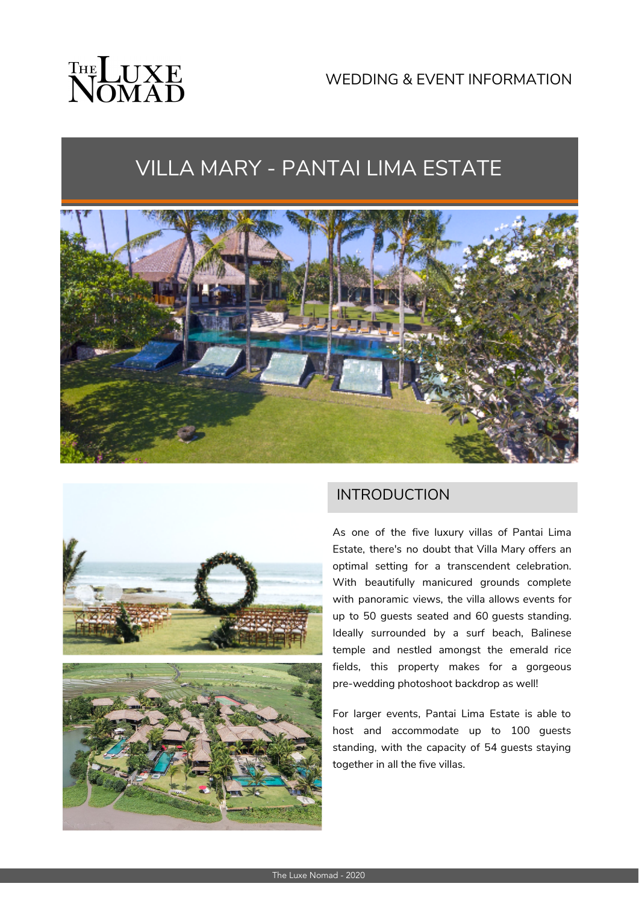# THE LUXE

# VILLA MARY - PANTAI LIMA ESTATE





### INTRODUCTION

As one of the five luxury villas of Pantai Lima Estate, there's no doubt that Villa Mary offers an optimal setting for a transcendent celebration. With beautifully manicured grounds complete with panoramic views, the villa allows events for up to 50 guests seated and 60 guests standing. Ideally surrounded by a surf beach, Balinese temple and nestled amongst the emerald rice fields, this property makes for a gorgeous pre-wedding photoshoot backdrop as well!

For larger events, Pantai Lima Estate is able to host and accommodate up to 100 guests standing, with the capacity of 54 guests staying together in all the five villas.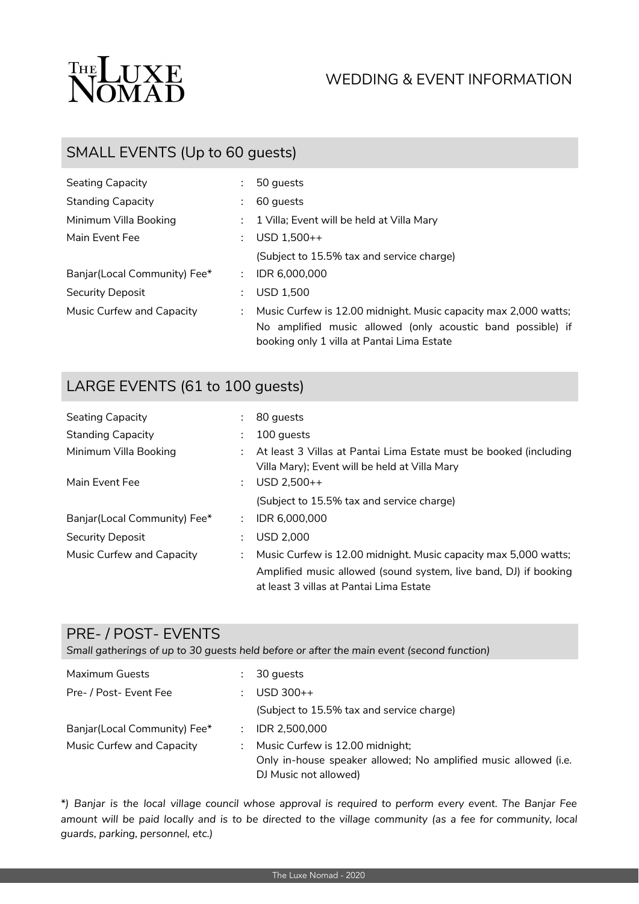

# WEDDING & EVENT INFORMATION

# SMALL EVENTS (Up to 60 guests)

| Seating Capacity             |               | 50 guests                                                                                                 |
|------------------------------|---------------|-----------------------------------------------------------------------------------------------------------|
| <b>Standing Capacity</b>     |               | 60 guests                                                                                                 |
| Minimum Villa Booking        |               | : 1 Villa; Event will be held at Villa Mary                                                               |
| Main Event Fee               |               | $USD 1,500++$                                                                                             |
|                              |               | (Subject to 15.5% tax and service charge)                                                                 |
| Banjar(Local Community) Fee* | $\mathcal{L}$ | IDR 6,000,000                                                                                             |
| Security Deposit             |               | <b>USD 1.500</b>                                                                                          |
| Music Curfew and Capacity    | $\mathcal{L}$ | Music Curfew is 12.00 midnight. Music capacity max 2,000 watts;                                           |
|                              |               | No amplified music allowed (only acoustic band possible) if<br>booking only 1 villa at Pantai Lima Estate |

### LARGE EVENTS (61 to 100 guests)

| Seating Capacity             |    | 80 quests                                                                                                          |
|------------------------------|----|--------------------------------------------------------------------------------------------------------------------|
| Standing Capacity            |    | 100 quests                                                                                                         |
| Minimum Villa Booking        |    | At least 3 Villas at Pantai Lima Estate must be booked (including<br>Villa Mary); Event will be held at Villa Mary |
| Main Event Fee               | ÷. | $USD 2.500++$                                                                                                      |
|                              |    | (Subject to 15.5% tax and service charge)                                                                          |
| Banjar(Local Community) Fee* | ÷. | IDR 6.000.000                                                                                                      |
| Security Deposit             |    | <b>USD 2.000</b>                                                                                                   |
| Music Curfew and Capacity    |    | Music Curfew is 12.00 midnight. Music capacity max 5,000 watts;                                                    |
|                              |    | Amplified music allowed (sound system, live band, DJ) if booking<br>at least 3 villas at Pantai Lima Estate        |

#### PRE- / POST- EVENTS

*Small gatherings of up to 30 guests held before or after the main event (second function)*

| Maximum Guests                |    | 30 quests                                                       |
|-------------------------------|----|-----------------------------------------------------------------|
| Pre- / Post- Event Fee        |    | $USD$ 300++                                                     |
|                               |    | (Subject to 15.5% tax and service charge)                       |
| Banjar (Local Community) Fee* | ÷. | IDR 2.500.000                                                   |
| Music Curfew and Capacity     | ÷. | Music Curfew is 12.00 midnight;                                 |
|                               |    | Only in-house speaker allowed; No amplified music allowed (i.e. |
|                               |    | DJ Music not allowed)                                           |

\*) Banjar is the local village council whose approval is required to perform every event. The Banjar Fee amount will be paid locally and is to be directed to the village community (as a fee for community, local *guards, parking, personnel, etc.)*